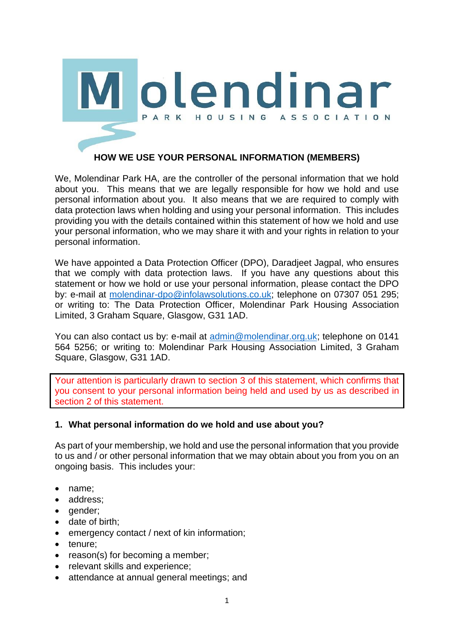

# **HOW WE USE YOUR PERSONAL INFORMATION (MEMBERS)**

We, Molendinar Park HA, are the controller of the personal information that we hold about you. This means that we are legally responsible for how we hold and use personal information about you. It also means that we are required to comply with data protection laws when holding and using your personal information. This includes providing you with the details contained within this statement of how we hold and use your personal information, who we may share it with and your rights in relation to your personal information.

We have appointed a Data Protection Officer (DPO), Daradjeet Jagpal, who ensures that we comply with data protection laws. If you have any questions about this statement or how we hold or use your personal information, please contact the DPO by: e-mail at [molendinar-dpo@infolawsolutions.co.uk;](mailto:molendinar-dpo@infolawsolutions.co.uk) telephone on 07307 051 295; or writing to: The Data Protection Officer, Molendinar Park Housing Association Limited, 3 Graham Square, Glasgow, G31 1AD.

You can also contact us by: e-mail at [admin@molendinar.org.uk;](mailto:admin@molendinar.org.uk) telephone on 0141 564 5256; or writing to: Molendinar Park Housing Association Limited, 3 Graham Square, Glasgow, G31 1AD.

Your attention is particularly drawn to section 3 of this statement, which confirms that you consent to your personal information being held and used by us as described in section 2 of this statement.

## **1. What personal information do we hold and use about you?**

As part of your membership, we hold and use the personal information that you provide to us and / or other personal information that we may obtain about you from you on an ongoing basis. This includes your:

- name;
- address;
- gender;
- date of birth;
- emergency contact / next of kin information;
- tenure;
- reason(s) for becoming a member;
- relevant skills and experience;
- attendance at annual general meetings; and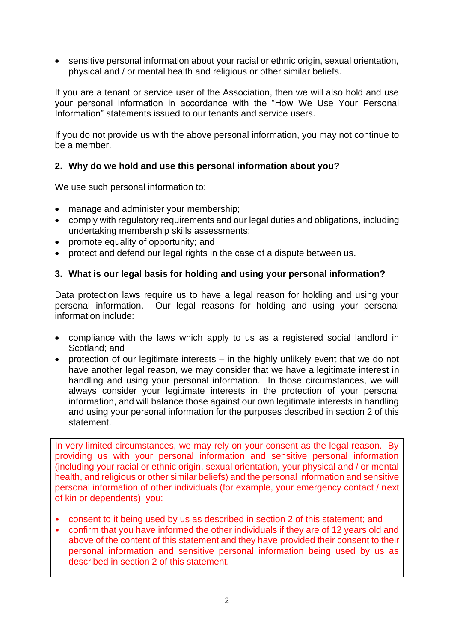• sensitive personal information about your racial or ethnic origin, sexual orientation, physical and / or mental health and religious or other similar beliefs.

If you are a tenant or service user of the Association, then we will also hold and use your personal information in accordance with the "How We Use Your Personal Information" statements issued to our tenants and service users.

If you do not provide us with the above personal information, you may not continue to be a member.

## **2. Why do we hold and use this personal information about you?**

We use such personal information to:

- manage and administer your membership;
- comply with regulatory requirements and our legal duties and obligations, including undertaking membership skills assessments;
- promote equality of opportunity; and
- protect and defend our legal rights in the case of a dispute between us.

### **3. What is our legal basis for holding and using your personal information?**

Data protection laws require us to have a legal reason for holding and using your personal information. Our legal reasons for holding and using your personal information include:

- compliance with the laws which apply to us as a registered social landlord in Scotland; and
- protection of our legitimate interests in the highly unlikely event that we do not have another legal reason, we may consider that we have a legitimate interest in handling and using your personal information. In those circumstances, we will always consider your legitimate interests in the protection of your personal information, and will balance those against our own legitimate interests in handling and using your personal information for the purposes described in section 2 of this statement.

In very limited circumstances, we may rely on your consent as the legal reason. By providing us with your personal information and sensitive personal information (including your racial or ethnic origin, sexual orientation, your physical and / or mental health, and religious or other similar beliefs) and the personal information and sensitive personal information of other individuals (for example, your emergency contact / next of kin or dependents), you:

- consent to it being used by us as described in section 2 of this statement; and
- confirm that you have informed the other individuals if they are of 12 years old and above of the content of this statement and they have provided their consent to their personal information and sensitive personal information being used by us as described in section 2 of this statement.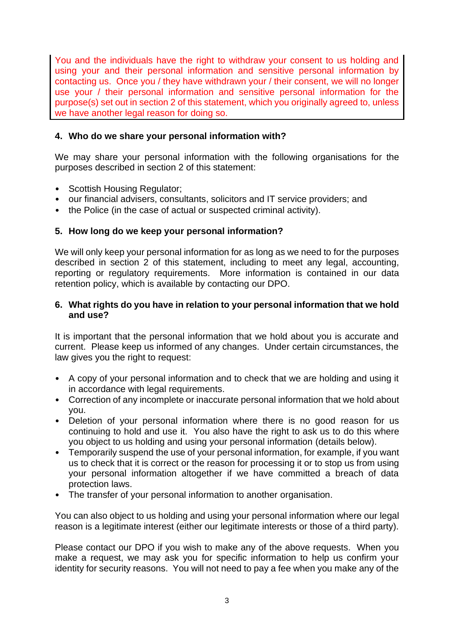You and the individuals have the right to withdraw your consent to us holding and using your and their personal information and sensitive personal information by contacting us. Once you / they have withdrawn your / their consent, we will no longer use your / their personal information and sensitive personal information for the purpose(s) set out in section 2 of this statement, which you originally agreed to, unless we have another legal reason for doing so.

### **4. Who do we share your personal information with?**

We may share your personal information with the following organisations for the purposes described in section 2 of this statement:

- Scottish Housing Regulator;
- our financial advisers, consultants, solicitors and IT service providers; and
- the Police (in the case of actual or suspected criminal activity).

### **5. How long do we keep your personal information?**

We will only keep your personal information for as long as we need to for the purposes described in section 2 of this statement, including to meet any legal, accounting, reporting or regulatory requirements. More information is contained in our data retention policy, which is available by contacting our DPO.

#### **6. What rights do you have in relation to your personal information that we hold and use?**

It is important that the personal information that we hold about you is accurate and current. Please keep us informed of any changes. Under certain circumstances, the law gives you the right to request:

- A copy of your personal information and to check that we are holding and using it in accordance with legal requirements.
- Correction of any incomplete or inaccurate personal information that we hold about you.
- Deletion of your personal information where there is no good reason for us continuing to hold and use it. You also have the right to ask us to do this where you object to us holding and using your personal information (details below).
- Temporarily suspend the use of your personal information, for example, if you want us to check that it is correct or the reason for processing it or to stop us from using your personal information altogether if we have committed a breach of data protection laws.
- The transfer of your personal information to another organisation.

You can also object to us holding and using your personal information where our legal reason is a legitimate interest (either our legitimate interests or those of a third party).

Please contact our DPO if you wish to make any of the above requests. When you make a request, we may ask you for specific information to help us confirm your identity for security reasons. You will not need to pay a fee when you make any of the